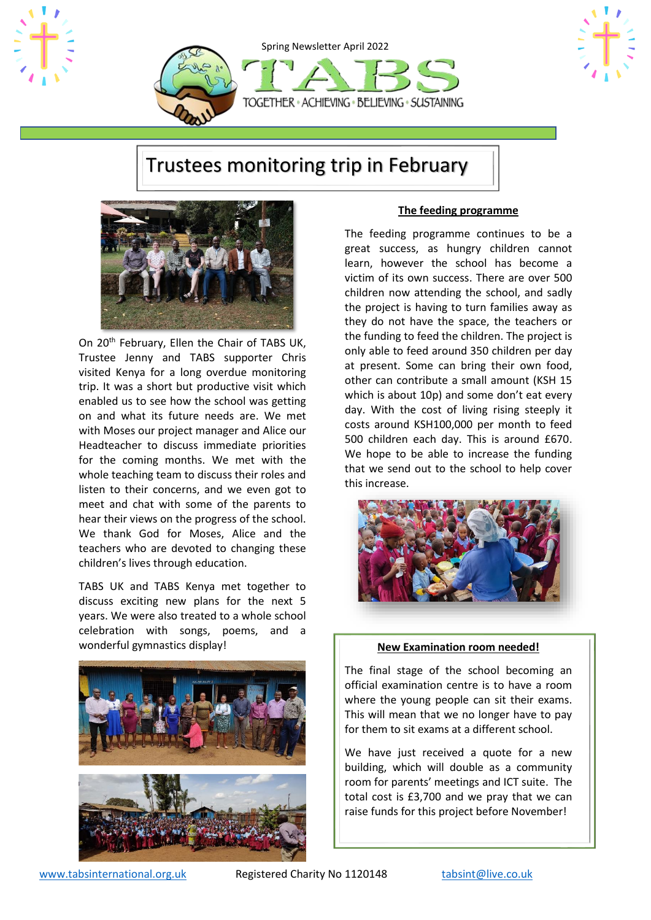



# Trustees monitoring trip in February



On 20<sup>th</sup> February, Ellen the Chair of TABS UK, Trustee Jenny and TABS supporter Chris visited Kenya for a long overdue monitoring trip. It was a short but productive visit which enabled us to see how the school was getting on and what its future needs are. We met with Moses our project manager and Alice our Headteacher to discuss immediate priorities for the coming months. We met with the whole teaching team to discuss their roles and listen to their concerns, and we even got to meet and chat with some of the parents to hear their views on the progress of the school. We thank God for Moses, Alice and the teachers who are devoted to changing these children's lives through education.

TABS UK and TABS Kenya met together to discuss exciting new plans for the next 5 years. We were also treated to a whole school celebration with songs, poems, and a wonderful gymnastics display!



#### **The feeding programme**

The feeding programme continues to be a great success, as hungry children cannot learn, however the school has become a victim of its own success. There are over 500 children now attending the school, and sadly the project is having to turn families away as they do not have the space, the teachers or the funding to feed the children. The project is only able to feed around 350 children per day at present. Some can bring their own food, other can contribute a small amount (KSH 15 which is about 10p) and some don't eat every day. With the cost of living rising steeply it costs around KSH100,000 per month to feed 500 children each day. This is around £670. We hope to be able to increase the funding that we send out to the school to help cover this increase.



#### **New Examination room needed!**

The final stage of the school becoming an official examination centre is to have a room where the young people can sit their exams. This will mean that we no longer have to pay for them to sit exams at a different school.

We have just received a quote for a new building, which will double as a community room for parents' meetings and ICT suite. The total cost is £3,700 and we pray that we can raise funds for this project before November!

[www.tabsinternational.org.uk](http://www.tabsinternational.org.uk/) Registered Charity No 1120148 [tabsint@live.co.uk](mailto:tabsint@live.co.uk)